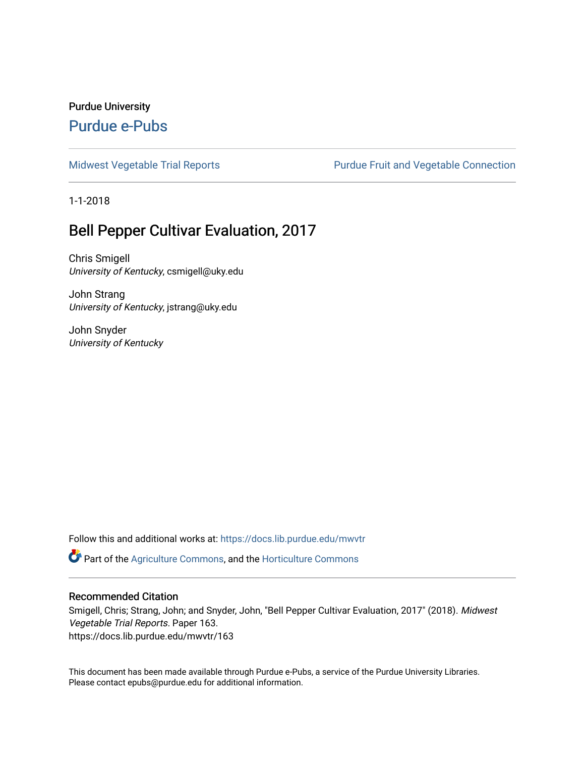### Purdue University [Purdue e-Pubs](https://docs.lib.purdue.edu/)

[Midwest Vegetable Trial Reports](https://docs.lib.purdue.edu/mwvtr) **Purdue Fruit and Vegetable Connection** 

1-1-2018

### Bell Pepper Cultivar Evaluation, 2017

Chris Smigell University of Kentucky, csmigell@uky.edu

John Strang University of Kentucky, jstrang@uky.edu

John Snyder University of Kentucky

Follow this and additional works at: [https://docs.lib.purdue.edu/mwvtr](https://docs.lib.purdue.edu/mwvtr?utm_source=docs.lib.purdue.edu%2Fmwvtr%2F163&utm_medium=PDF&utm_campaign=PDFCoverPages) 

Part of the [Agriculture Commons](http://network.bepress.com/hgg/discipline/1076?utm_source=docs.lib.purdue.edu%2Fmwvtr%2F163&utm_medium=PDF&utm_campaign=PDFCoverPages), and the [Horticulture Commons](http://network.bepress.com/hgg/discipline/105?utm_source=docs.lib.purdue.edu%2Fmwvtr%2F163&utm_medium=PDF&utm_campaign=PDFCoverPages) 

#### Recommended Citation

Smigell, Chris; Strang, John; and Snyder, John, "Bell Pepper Cultivar Evaluation, 2017" (2018). Midwest Vegetable Trial Reports. Paper 163. https://docs.lib.purdue.edu/mwvtr/163

This document has been made available through Purdue e-Pubs, a service of the Purdue University Libraries. Please contact epubs@purdue.edu for additional information.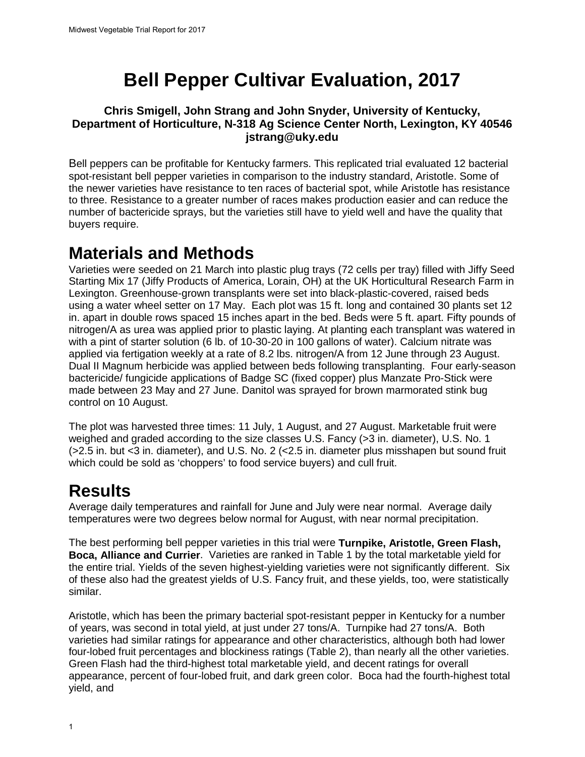# **Bell Pepper Cultivar Evaluation, 2017**

#### **Chris Smigell, John Strang and John Snyder, University of Kentucky, Department of Horticulture, N-318 Ag Science Center North, Lexington, KY 40546 [jstrang@uky.edu](mailto:jstrang@uky.edu)**

Bell peppers can be profitable for Kentucky farmers. This replicated trial evaluated 12 bacterial spot-resistant bell pepper varieties in comparison to the industry standard, Aristotle. Some of the newer varieties have resistance to ten races of bacterial spot, while Aristotle has resistance to three. Resistance to a greater number of races makes production easier and can reduce the number of bactericide sprays, but the varieties still have to yield well and have the quality that buyers require.

### **Materials and Methods**

Varieties were seeded on 21 March into plastic plug trays (72 cells per tray) filled with Jiffy Seed Starting Mix 17 (Jiffy Products of America, Lorain, OH) at the UK Horticultural Research Farm in Lexington. Greenhouse-grown transplants were set into black-plastic-covered, raised beds using a water wheel setter on 17 May. Each plot was 15 ft. long and contained 30 plants set 12 in. apart in double rows spaced 15 inches apart in the bed. Beds were 5 ft. apart. Fifty pounds of nitrogen/A as urea was applied prior to plastic laying. At planting each transplant was watered in with a pint of starter solution (6 lb. of 10-30-20 in 100 gallons of water). Calcium nitrate was applied via fertigation weekly at a rate of 8.2 lbs. nitrogen/A from 12 June through 23 August. Dual II Magnum herbicide was applied between beds following transplanting. Four early-season bactericide/ fungicide applications of Badge SC (fixed copper) plus Manzate Pro-Stick were made between 23 May and 27 June. Danitol was sprayed for brown marmorated stink bug control on 10 August.

The plot was harvested three times: 11 July, 1 August, and 27 August. Marketable fruit were weighed and graded according to the size classes U.S. Fancy (>3 in. diameter), U.S. No. 1 (>2.5 in. but <3 in. diameter), and U.S. No. 2 (<2.5 in. diameter plus misshapen but sound fruit which could be sold as 'choppers' to food service buyers) and cull fruit.

# **Results**

Average daily temperatures and rainfall for June and July were near normal. Average daily temperatures were two degrees below normal for August, with near normal precipitation.

The best performing bell pepper varieties in this trial were **Turnpike, Aristotle, Green Flash, Boca, Alliance and Currier**. Varieties are ranked in Table 1 by the total marketable yield for the entire trial. Yields of the seven highest-yielding varieties were not significantly different. Six of these also had the greatest yields of U.S. Fancy fruit, and these yields, too, were statistically similar.

Aristotle, which has been the primary bacterial spot-resistant pepper in Kentucky for a number of years, was second in total yield, at just under 27 tons/A. Turnpike had 27 tons/A. Both varieties had similar ratings for appearance and other characteristics, although both had lower four-lobed fruit percentages and blockiness ratings (Table 2), than nearly all the other varieties. Green Flash had the third-highest total marketable yield, and decent ratings for overall appearance, percent of four-lobed fruit, and dark green color. Boca had the fourth-highest total yield, and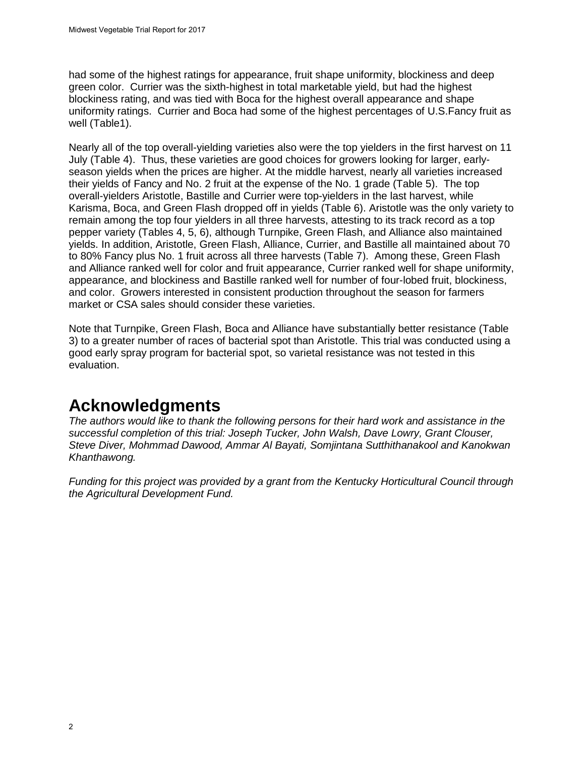had some of the highest ratings for appearance, fruit shape uniformity, blockiness and deep green color. Currier was the sixth-highest in total marketable yield, but had the highest blockiness rating, and was tied with Boca for the highest overall appearance and shape uniformity ratings. Currier and Boca had some of the highest percentages of U.S.Fancy fruit as well (Table1).

Nearly all of the top overall-yielding varieties also were the top yielders in the first harvest on 11 July (Table 4). Thus, these varieties are good choices for growers looking for larger, earlyseason yields when the prices are higher. At the middle harvest, nearly all varieties increased their yields of Fancy and No. 2 fruit at the expense of the No. 1 grade (Table 5). The top overall-yielders Aristotle, Bastille and Currier were top-yielders in the last harvest, while Karisma, Boca, and Green Flash dropped off in yields (Table 6). Aristotle was the only variety to remain among the top four yielders in all three harvests, attesting to its track record as a top pepper variety (Tables 4, 5, 6), although Turnpike, Green Flash, and Alliance also maintained yields. In addition, Aristotle, Green Flash, Alliance, Currier, and Bastille all maintained about 70 to 80% Fancy plus No. 1 fruit across all three harvests (Table 7). Among these, Green Flash and Alliance ranked well for color and fruit appearance, Currier ranked well for shape uniformity, appearance, and blockiness and Bastille ranked well for number of four-lobed fruit, blockiness, and color. Growers interested in consistent production throughout the season for farmers market or CSA sales should consider these varieties.

 Note that Turnpike, Green Flash, Boca and Alliance have substantially better resistance (Table 3) to a greater number of races of bacterial spot than Aristotle. This trial was conducted using a good early spray program for bacterial spot, so varietal resistance was not tested in this evaluation.

# **Acknowledgments**

*The authors would like to thank the following persons for their hard work and assistance in the successful completion of this trial: Joseph Tucker, John Walsh, Dave Lowry, Grant Clouser, Steve Diver, Mohmmad Dawood, Ammar Al Bayati, Somjintana Sutthithanakool and Kanokwan Khanthawong.* 

*Funding for this project was provided by a grant from the Kentucky Horticultural Council through the Agricultural Development Fund.*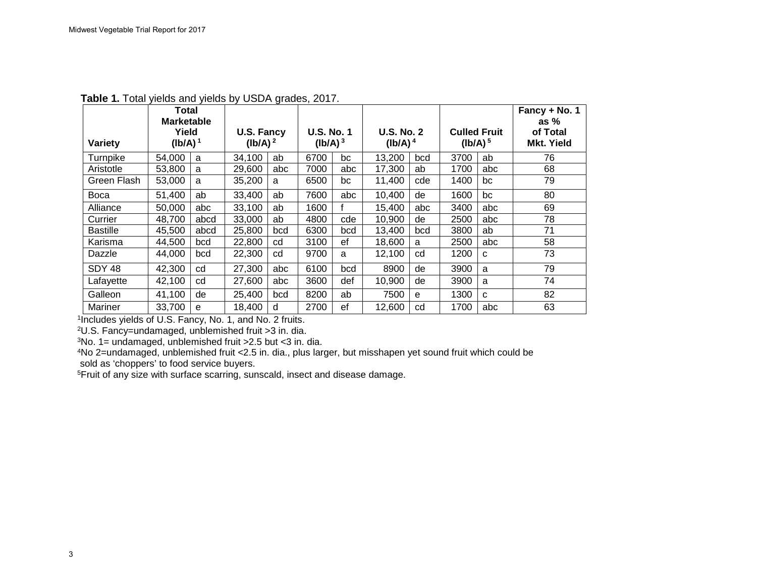|                 | <b>Total</b><br><b>Marketable</b> |      |                                 |     |                                          |     |                                 |     |                     |                     | Fancy + No. 1<br>as $%$       |
|-----------------|-----------------------------------|------|---------------------------------|-----|------------------------------------------|-----|---------------------------------|-----|---------------------|---------------------|-------------------------------|
| Variety         | Yield<br>$(Ib/A)^1$               |      | <b>U.S. Fancy</b><br>$(lb/A)^2$ |     | <b>U.S. No. 1</b><br>(Ib/A) <sup>3</sup> |     | <b>U.S. No. 2</b><br>$(lb/A)^4$ |     | (lb/A) <sup>5</sup> | <b>Culled Fruit</b> | of Total<br><b>Mkt. Yield</b> |
| Turnpike        | 54,000                            | a    | 34,100                          | ab  | 6700                                     | bc  | 13,200                          | bcd | 3700                | ab                  | 76                            |
| Aristotle       | 53,800                            | a    | 29,600                          | abc | 7000                                     | abc | 17,300                          | ab  | 1700                | abc                 | 68                            |
| Green Flash     | 53,000                            | a    | 35,200                          | a   | 6500                                     | bc  | 11,400                          | cde | 1400                | bc                  | 79                            |
| <b>Boca</b>     | 51,400                            | ab   | 33,400                          | ab  | 7600                                     | abc | 10,400                          | de  | 1600                | bc                  | 80                            |
| Alliance        | 50,000                            | abc  | 33,100                          | ab  | 1600                                     |     | 15,400                          | abc | 3400                | abc                 | 69                            |
| Currier         | 48,700                            | abcd | 33,000                          | ab  | 4800                                     | cde | 10,900                          | de  | 2500                | abc                 | 78                            |
| <b>Bastille</b> | 45.500                            | abcd | 25,800                          | bcd | 6300                                     | bcd | 13.400                          | bcd | 3800                | ab                  | 71                            |
| Karisma         | 44.500                            | bcd  | 22,800                          | cd  | 3100                                     | ef  | 18,600                          | a   | 2500                | abc                 | 58                            |
| Dazzle          | 44,000                            | bcd  | 22,300                          | cd  | 9700                                     | a   | 12,100                          | cd  | 1200                | C                   | 73                            |
| <b>SDY 48</b>   | 42,300                            | cd   | 27,300                          | abc | 6100                                     | bcd | 8900                            | de  | 3900                | a                   | 79                            |
| Lafayette       | 42,100                            | cd   | 27,600                          | abc | 3600                                     | def | 10,900                          | de  | 3900                | a                   | 74                            |
| Galleon         | 41,100                            | de   | 25,400                          | bcd | 8200                                     | ab  | 7500                            | e   | 1300                | $\mathbf{C}$        | 82                            |
| Mariner         | 33,700                            | e    | 18,400                          | d   | 2700                                     | ef  | 12.600                          | cd  | 1700                | abc                 | 63                            |

**Table 1.** Total yields and yields by USDA grades, 2017.

1Includes yields of U.S. Fancy, No. 1, and No. 2 fruits.

2U.S. Fancy=undamaged, unblemished fruit >3 in. dia.

 $3$ No. 1= undamaged, unblemished fruit > 2.5 but < 3 in. dia.

 4No 2=undamaged, unblemished fruit <2.5 in. dia., plus larger, but misshapen yet sound fruit which could be sold as 'choppers' to food service buyers.

5Fruit of any size with surface scarring, sunscald, insect and disease damage.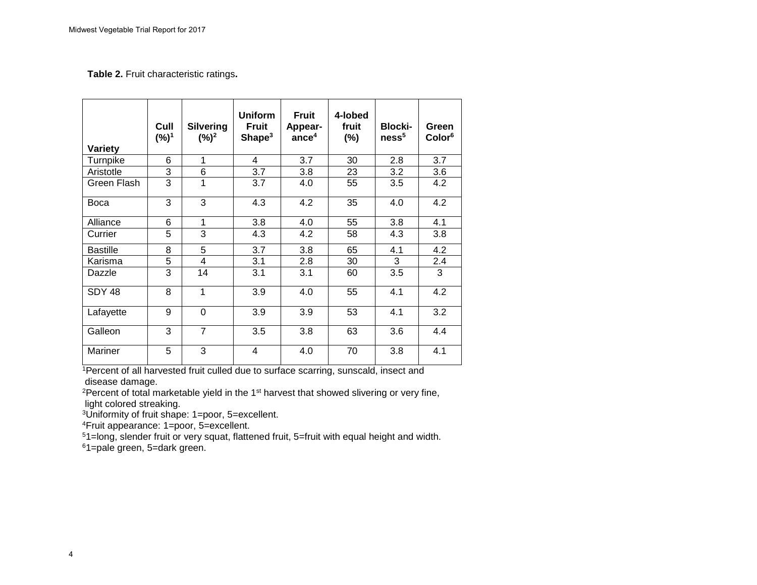#### **Table 2.** Fruit characteristic ratings**.**

| <b>Variety</b>  | Cull<br>$(%)^1$ | <b>Silvering</b><br>$(\%)^2$ | <b>Uniform</b><br>Fruit<br>Shape <sup>3</sup> | <b>Fruit</b><br>Appear-<br>ance <sup>4</sup> | 4-lobed<br>fruit<br>$(\%)$ | <b>Blocki-</b><br>ness <sup>5</sup> | Green<br>Color <sup>6</sup> |
|-----------------|-----------------|------------------------------|-----------------------------------------------|----------------------------------------------|----------------------------|-------------------------------------|-----------------------------|
| Turnpike        | 6               | 1                            | 4                                             | 3.7                                          | 30                         | 2.8                                 | 3.7                         |
| Aristotle       | 3               | 6                            | 3.7                                           | 3.8                                          | 23                         | 3.2                                 | 3.6                         |
| Green Flash     | 3               | 1                            | 3.7                                           | 4.0                                          | 55                         | 3.5                                 | 4.2                         |
| <b>Boca</b>     | 3               | 3                            | 4.3                                           | 4.2                                          | 35                         | 4.0                                 | 4.2                         |
| Alliance        | 6               | 1                            | 3.8                                           | 4.0                                          | 55                         | 3.8                                 | 4.1                         |
| Currier         | 5               | 3                            | 4.3                                           | 4.2                                          | 58                         | 4.3                                 | 3.8                         |
| <b>Bastille</b> | 8               | 5                            | 3.7                                           | 3.8                                          | 65                         | 4.1                                 | 4.2                         |
| Karisma         | 5               | $\overline{4}$               | 3.1                                           | 2.8                                          | 30                         | 3                                   | 2.4                         |
| Dazzle          | 3               | 14                           | 3.1                                           | 3.1                                          | 60                         | 3.5                                 | 3                           |
| <b>SDY 48</b>   | 8               | 1                            | 3.9                                           | 4.0                                          | 55                         | 4.1                                 | 4.2                         |
| Lafayette       | 9               | 0                            | 3.9                                           | 3.9                                          | 53                         | 4.1                                 | 3.2                         |
| Galleon         | 3               | $\overline{7}$               | 3.5                                           | 3.8                                          | 63                         | 3.6                                 | 4.4                         |
| Mariner         | 5               | 3                            | 4                                             | 4.0                                          | 70                         | 3.8                                 | 4.1                         |

1Percent of all harvested fruit culled due to surface scarring, sunscald, insect and disease damage.

<sup>2</sup>Percent of total marketable yield in the 1<sup>st</sup> harvest that showed slivering or very fine, light colored streaking.

3Uniformity of fruit shape: 1=poor, 5=excellent.

4Fruit appearance: 1=poor, 5=excellent.

51=long, slender fruit or very squat, flattened fruit, 5=fruit with equal height and width.

61=pale green, 5=dark green.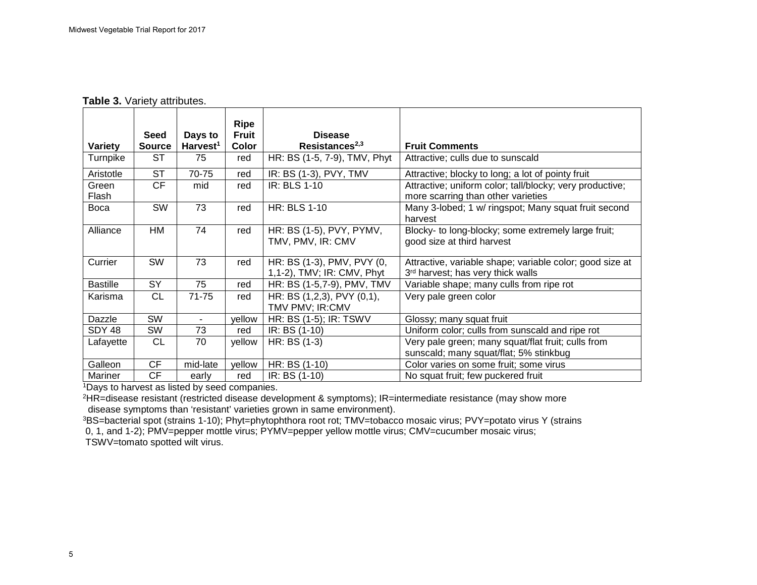|                 | <b>Seed</b>   | Days to              | Ripe<br><b>Fruit</b> | <b>Disease</b>                                           |                                                                                                |
|-----------------|---------------|----------------------|----------------------|----------------------------------------------------------|------------------------------------------------------------------------------------------------|
| Variety         | <b>Source</b> | Harvest <sup>1</sup> | Color                | Resistances <sup>2,3</sup>                               | <b>Fruit Comments</b>                                                                          |
| Turnpike        | ST            | 75                   | red                  | HR: BS (1-5, 7-9), TMV, Phyt                             | Attractive; culls due to sunscald                                                              |
| Aristotle       | ST            | 70-75                | red                  | IR: BS (1-3), PVY, TMV                                   | Attractive; blocky to long; a lot of pointy fruit                                              |
| Green<br>Flash  | <b>CF</b>     | mid                  | red                  | IR: BLS 1-10                                             | Attractive; uniform color; tall/blocky; very productive;<br>more scarring than other varieties |
| <b>Boca</b>     | SW            | 73                   | red                  | <b>HR: BLS 1-10</b>                                      | Many 3-lobed; 1 w/ ringspot; Many squat fruit second<br>harvest                                |
| Alliance        | HM            | 74                   | red                  | HR: BS (1-5), PVY, PYMV,<br>TMV, PMV, IR: CMV            | Blocky- to long-blocky; some extremely large fruit;<br>good size at third harvest              |
| Currier         | <b>SW</b>     | 73                   | red                  | HR: BS (1-3), PMV, PVY (0,<br>1,1-2), TMV; IR: CMV, Phyt | Attractive, variable shape; variable color; good size at<br>3rd harvest; has very thick walls  |
| <b>Bastille</b> | <b>SY</b>     | 75                   | red                  | HR: BS (1-5,7-9), PMV, TMV                               | Variable shape; many culls from ripe rot                                                       |
| Karisma         | <b>CL</b>     | 71-75                | red                  | HR: BS (1,2,3), PVY (0,1),<br>TMV PMV; IR:CMV            | Very pale green color                                                                          |
| Dazzle          | SW            |                      | yellow               | HR: BS (1-5); IR: TSWV                                   | Glossy; many squat fruit                                                                       |
| SDY 48          | <b>SW</b>     | 73                   | red                  | IR: BS (1-10)                                            | Uniform color; culls from sunscald and ripe rot                                                |
| Lafayette       | <b>CL</b>     | 70                   | yellow               | HR: BS (1-3)                                             | Very pale green; many squat/flat fruit; culls from<br>sunscald; many squat/flat; 5% stinkbug   |
| Galleon         | CF            | mid-late             | yellow               | HR: BS (1-10)                                            | Color varies on some fruit; some virus                                                         |
| Mariner         | <b>CF</b>     | early                | red                  | IR: BS (1-10)                                            | No squat fruit; few puckered fruit                                                             |

1Days to harvest as listed by seed companies.<br>
<sup>2</sup>HR=disease resistant (restricted disease development & symptoms); IR=intermediate resistance (may show more disease symptoms than 'resistant' varieties grown in same environment).

<sup>3</sup>BS=bacterial spot (strains 1-10); Phyt=phytophthora root rot; TMV=tobacco mosaic virus; PVY=potato virus Y (strains

0, 1, and 1-2); PMV=pepper mottle virus; PYMV=pepper yellow mottle virus; CMV=cucumber mosaic virus;

TSWV=tomato spotted wilt virus.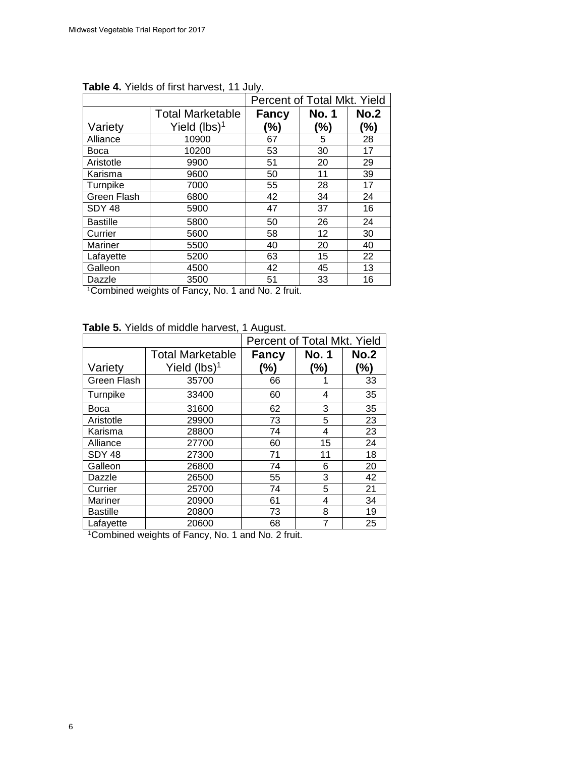|                   |                         | Percent of Total Mkt. Yield |              |      |  |
|-------------------|-------------------------|-----------------------------|--------------|------|--|
|                   | <b>Total Marketable</b> | Fancy                       | <b>No. 1</b> | No.2 |  |
| Variety           | Yield $(lbs)^1$         | (%)                         | (%)          | (%)  |  |
| Alliance          | 10900                   | 67                          | 5            | 28   |  |
| <b>Boca</b>       | 10200                   | 53                          | 30           | 17   |  |
| Aristotle         | 9900                    | 51                          | 20           | 29   |  |
| Karisma           | 9600                    | 50                          | 11           | 39   |  |
| Turnpike          | 7000                    | 55                          | 28           | 17   |  |
| Green Flash       | 6800                    | 42                          | 34           | 24   |  |
| SDY <sub>48</sub> | 5900                    | 47                          | 37           | 16   |  |
| <b>Bastille</b>   | 5800                    | 50                          | 26           | 24   |  |
| Currier           | 5600                    | 58                          | 12           | 30   |  |
| Mariner           | 5500                    | 40                          | 20           | 40   |  |
| Lafayette         | 5200                    | 63                          | 15           | 22   |  |
| Galleon           | 4500                    | 42                          | 45           | 13   |  |
| Dazzle            | 3500                    | 51                          | 33           | 16   |  |

**Table 4.** Yields of first harvest, 11 July.

<sup>1</sup>Combined weights of Fancy, No. 1 and No. 2 fruit.

| Table 5. Yields of middle harvest, 1 August. |  |  |
|----------------------------------------------|--|--|
|----------------------------------------------|--|--|

|                   |                         | Percent of Total Mkt. Yield |              |             |  |
|-------------------|-------------------------|-----------------------------|--------------|-------------|--|
|                   | <b>Total Marketable</b> | <b>Fancy</b>                | <b>No. 1</b> | <b>No.2</b> |  |
| Variety           | Yield $(lbs)^1$         | (%)                         | $(\%)$       | (%)         |  |
| Green Flash       | 35700                   | 66                          |              | 33          |  |
| Turnpike          | 33400                   | 60                          | 4            | 35          |  |
| Boca              | 31600                   | 62                          | 3            | 35          |  |
| Aristotle         | 29900                   | 73                          | 5            | 23          |  |
| Karisma           | 28800                   | 74                          | 4            | 23          |  |
| Alliance          | 27700                   | 60                          | 15           | 24          |  |
| SDY <sub>48</sub> | 27300                   | 71                          | 11           | 18          |  |
| Galleon           | 26800                   | 74                          | 6            | 20          |  |
| Dazzle            | 26500                   | 55                          | 3            | 42          |  |
| Currier           | 25700                   | 74                          | 5            | 21          |  |
| Mariner           | 20900                   | 61                          | 4            | 34          |  |
| <b>Bastille</b>   | 20800                   | 73                          | 8            | 19          |  |
| Lafayette         | 20600                   | 68                          | 7            | 25          |  |

1Combined weights of Fancy, No. 1 and No. 2 fruit.